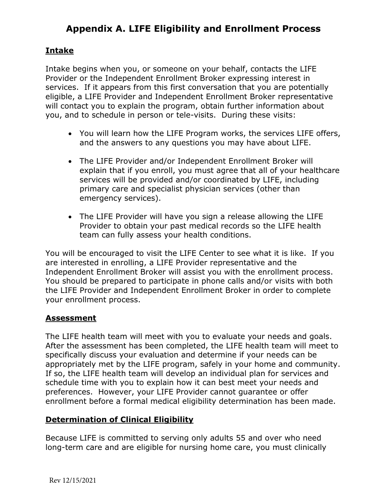# **Appendix A. LIFE Eligibility and Enrollment Process**

## **Intake**

Intake begins when you, or someone on your behalf, contacts the LIFE Provider or the Independent Enrollment Broker expressing interest in services. If it appears from this first conversation that you are potentially eligible, a LIFE Provider and Independent Enrollment Broker representative will contact you to explain the program, obtain further information about you, and to schedule in person or tele-visits. During these visits:

- You will learn how the LIFE Program works, the services LIFE offers, and the answers to any questions you may have about LIFE.
- The LIFE Provider and/or Independent Enrollment Broker will explain that if you enroll, you must agree that all of your healthcare services will be provided and/or coordinated by LIFE, including primary care and specialist physician services (other than emergency services).
- The LIFE Provider will have you sign a release allowing the LIFE Provider to obtain your past medical records so the LIFE health team can fully assess your health conditions.

You will be encouraged to visit the LIFE Center to see what it is like. If you are interested in enrolling, a LIFE Provider representative and the Independent Enrollment Broker will assist you with the enrollment process. You should be prepared to participate in phone calls and/or visits with both the LIFE Provider and Independent Enrollment Broker in order to complete your enrollment process.

## **Assessment**

The LIFE health team will meet with you to evaluate your needs and goals. After the assessment has been completed, the LIFE health team will meet to specifically discuss your evaluation and determine if your needs can be appropriately met by the LIFE program, safely in your home and community. If so, the LIFE health team will develop an individual plan for services and schedule time with you to explain how it can best meet your needs and preferences. However, your LIFE Provider cannot guarantee or offer enrollment before a formal medical eligibility determination has been made.

#### **Determination of Clinical Eligibility**

Because LIFE is committed to serving only adults 55 and over who need long-term care and are eligible for nursing home care, you must clinically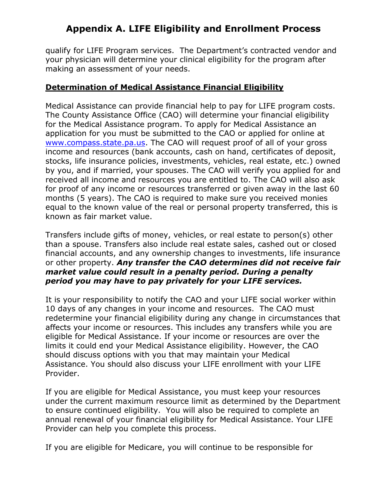# **Appendix A. LIFE Eligibility and Enrollment Process**

qualify for LIFE Program services. The Department's contracted vendor and your physician will determine your clinical eligibility for the program after making an assessment of your needs.

#### **Determination of Medical Assistance Financial Eligibility**

Medical Assistance can provide financial help to pay for LIFE program costs. The County Assistance Office (CAO) will determine your financial eligibility for the Medical Assistance program. To apply for Medical Assistance an application for you must be submitted to the CAO or applied for online at [www.compass.state.pa.us.](http://www.compass.state.pa.us/) The CAO will request proof of all of your gross income and resources (bank accounts, cash on hand, certificates of deposit, stocks, life insurance policies, investments, vehicles, real estate, etc.) owned by you, and if married, your spouses. The CAO will verify you applied for and received all income and resources you are entitled to. The CAO will also ask for proof of any income or resources transferred or given away in the last 60 months (5 years). The CAO is required to make sure you received monies equal to the known value of the real or personal property transferred, this is known as fair market value.

Transfers include gifts of money, vehicles, or real estate to person(s) other than a spouse. Transfers also include real estate sales, cashed out or closed financial accounts, and any ownership changes to investments, life insurance or other property. *Any transfer the CAO determines did not receive fair market value could result in a penalty period. During a penalty period you may have to pay privately for your LIFE services.* 

It is your responsibility to notify the CAO and your LIFE social worker within 10 days of any changes in your income and resources. The CAO must redetermine your financial eligibility during any change in circumstances that affects your income or resources. This includes any transfers while you are eligible for Medical Assistance. If your income or resources are over the limits it could end your Medical Assistance eligibility. However, the CAO should discuss options with you that may maintain your Medical Assistance. You should also discuss your LIFE enrollment with your LIFE Provider.

If you are eligible for Medical Assistance, you must keep your resources under the current maximum resource limit as determined by the Department to ensure continued eligibility. You will also be required to complete an annual renewal of your financial eligibility for Medical Assistance. Your LIFE Provider can help you complete this process.

If you are eligible for Medicare, you will continue to be responsible for